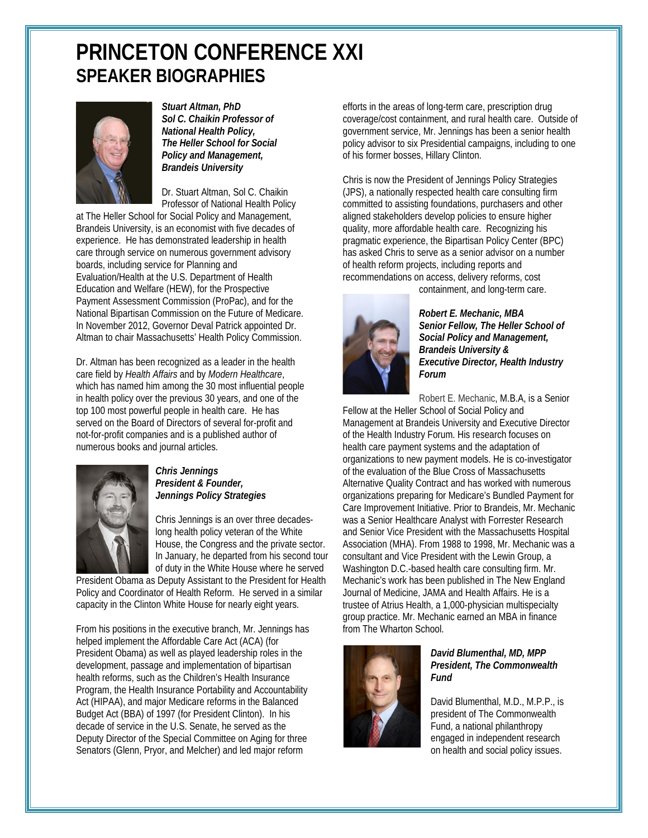# **PRINCETON CONFERENCE XXI SPEAKER BIOGRAPHIES**



*Stuart Altman, PhD Sol C. Chaikin Professor of National Health Policy, The Heller School for Social Policy and Management, Brandeis University*

Dr. Stuart Altman, Sol C. Chaikin Professor of National Health Policy

at The Heller School for Social Policy and Management, Brandeis University, is an economist with five decades of experience. He has demonstrated leadership in health care through service on numerous government advisory boards, including service for Planning and Evaluation/Health at the U.S. Department of Health Education and Welfare (HEW), for the Prospective Payment Assessment Commission (ProPac), and for the National Bipartisan Commission on the Future of Medicare. In November 2012, Governor Deval Patrick appointed Dr. Altman to chair Massachusetts' Health Policy Commission.

Dr. Altman has been recognized as a leader in the health care field by *Health Affairs* and by *Modern Healthcare*, which has named him among the 30 most influential people in health policy over the previous 30 years, and one of the top 100 most powerful people in health care. He has served on the Board of Directors of several for-profit and not-for-profit companies and is a published author of numerous books and journal articles.



*Chris Jennings President & Founder, Jennings Policy Strategies*

Chris Jennings is an over three decadeslong health policy veteran of the White House, the Congress and the private sector. In January, he departed from his second tour of duty in the White House where he served

President Obama as Deputy Assistant to the President for Health Policy and Coordinator of Health Reform. He served in a similar capacity in the Clinton White House for nearly eight years.

From his positions in the executive branch, Mr. Jennings has helped implement the Affordable Care Act (ACA) (for President Obama) as well as played leadership roles in the development, passage and implementation of bipartisan health reforms, such as the Children's Health Insurance Program, the Health Insurance Portability and Accountability Act (HIPAA), and major Medicare reforms in the Balanced Budget Act (BBA) of 1997 (for President Clinton). In his decade of service in the U.S. Senate, he served as the Deputy Director of the Special Committee on Aging for three Senators (Glenn, Pryor, and Melcher) and led major reform

efforts in the areas of long-term care, prescription drug coverage/cost containment, and rural health care. Outside of government service, Mr. Jennings has been a senior health policy advisor to six Presidential campaigns, including to one of his former bosses, Hillary Clinton.

Chris is now the President of Jennings Policy Strategies (JPS), a nationally respected health care consulting firm committed to assisting foundations, purchasers and other aligned stakeholders develop policies to ensure higher quality, more affordable health care. Recognizing his pragmatic experience, the Bipartisan Policy Center (BPC) has asked Chris to serve as a senior advisor on a number of health reform projects, including reports and recommendations on access, delivery reforms, cost containment, and long-term care.



*Robert E. Mechanic, MBA Senior Fellow, The Heller School of Social Policy and Management, Brandeis University & Executive Director, Health Industry Forum*

Robert E. Mechanic, M.B.A, is a Senior

Fellow at the Heller School of Social Policy and Management at Brandeis University and Executive Director of the Health Industry Forum. His research focuses on health care payment systems and the adaptation of organizations to new payment models. He is co-investigator of the evaluation of the Blue Cross of Massachusetts Alternative Quality Contract and has worked with numerous organizations preparing for Medicare's Bundled Payment for Care Improvement Initiative. Prior to Brandeis, Mr. Mechanic was a Senior Healthcare Analyst with Forrester Research and Senior Vice President with the Massachusetts Hospital Association (MHA). From 1988 to 1998, Mr. Mechanic was a consultant and Vice President with the Lewin Group, a Washington D.C.-based health care consulting firm. Mr. Mechanic's work has been published in The New England Journal of Medicine, JAMA and Health Affairs. He is a trustee of Atrius Health, a 1,000-physician multispecialty group practice. Mr. Mechanic earned an MBA in finance from The Wharton School.



## *David Blumenthal, MD, MPP President, The Commonwealth Fund*

David Blumenthal, M.D., M.P.P., is president of The Commonwealth Fund, a national philanthropy engaged in independent research on health and social policy issues.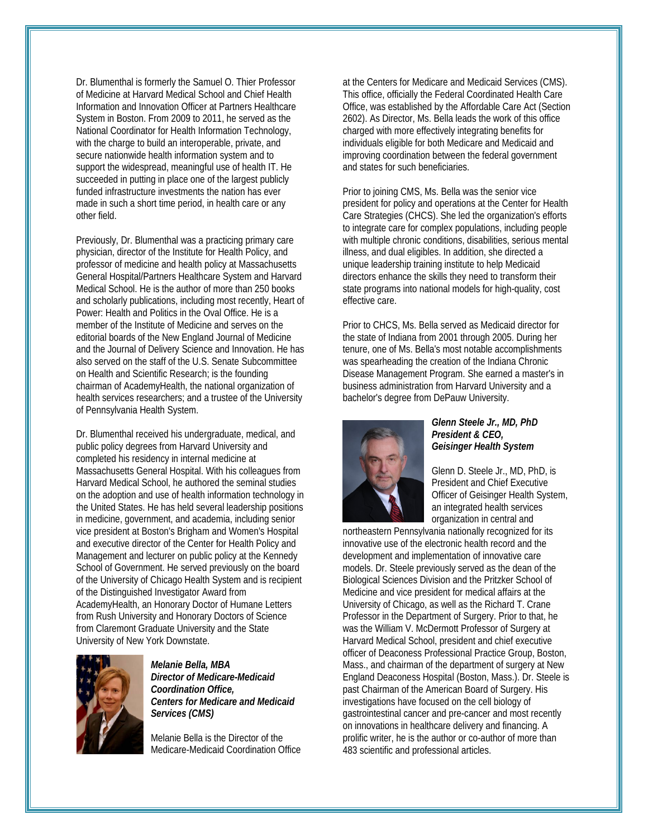Dr. Blumenthal is formerly the Samuel O. Thier Professor of Medicine at Harvard Medical School and Chief Health Information and Innovation Officer at Partners Healthcare System in Boston. From 2009 to 2011, he served as the National Coordinator for Health Information Technology, with the charge to build an interoperable, private, and secure nationwide health information system and to support the widespread, meaningful use of health IT. He succeeded in putting in place one of the largest publicly funded infrastructure investments the nation has ever made in such a short time period, in health care or any other field.

Previously, Dr. Blumenthal was a practicing primary care physician, director of the Institute for Health Policy, and professor of medicine and health policy at Massachusetts General Hospital/Partners Healthcare System and Harvard Medical School. He is the author of more than 250 books and scholarly publications, including most recently, Heart of Power: Health and Politics in the Oval Office. He is a member of the Institute of Medicine and serves on the editorial boards of the New England Journal of Medicine and the Journal of Delivery Science and Innovation. He has also served on the staff of the U.S. Senate Subcommittee on Health and Scientific Research; is the founding chairman of AcademyHealth, the national organization of health services researchers; and a trustee of the University of Pennsylvania Health System.

Dr. Blumenthal received his undergraduate, medical, and public policy degrees from Harvard University and completed his residency in internal medicine at Massachusetts General Hospital. With his colleagues from Harvard Medical School, he authored the seminal studies on the adoption and use of health information technology in the United States. He has held several leadership positions in medicine, government, and academia, including senior vice president at Boston's Brigham and Women's Hospital and executive director of the Center for Health Policy and Management and lecturer on public policy at the Kennedy School of Government. He served previously on the board of the University of Chicago Health System and is recipient of the Distinguished Investigator Award from AcademyHealth, an Honorary Doctor of Humane Letters from Rush University and Honorary Doctors of Science from Claremont Graduate University and the State University of New York Downstate.



*Melanie Bella, MBA Director of Medicare-Medicaid Coordination Office, Centers for Medicare and Medicaid Services (CMS)*

Melanie Bella is the Director of the Medicare-Medicaid Coordination Office

at the Centers for Medicare and Medicaid Services (CMS). This office, officially the Federal Coordinated Health Care Office, was established by the Affordable Care Act (Section 2602). As Director, Ms. Bella leads the work of this office charged with more effectively integrating benefits for individuals eligible for both Medicare and Medicaid and improving coordination between the federal government and states for such beneficiaries.

Prior to joining CMS, Ms. Bella was the senior vice president for policy and operations at the Center for Health Care Strategies (CHCS). She led the organization's efforts to integrate care for complex populations, including people with multiple chronic conditions, disabilities, serious mental illness, and dual eligibles. In addition, she directed a unique leadership training institute to help Medicaid directors enhance the skills they need to transform their state programs into national models for high-quality, cost effective care.

Prior to CHCS, Ms. Bella served as Medicaid director for the state of Indiana from 2001 through 2005. During her tenure, one of Ms. Bella's most notable accomplishments was spearheading the creation of the Indiana Chronic Disease Management Program. She earned a master's in business administration from Harvard University and a bachelor's degree from DePauw University.



*Glenn Steele Jr., MD, PhD President & CEO, Geisinger Health System*

Glenn D. Steele Jr., MD, PhD, is President and Chief Executive Officer of Geisinger Health System, an integrated health services organization in central and

northeastern Pennsylvania nationally recognized for its innovative use of the electronic health record and the development and implementation of innovative care models. Dr. Steele previously served as the dean of the Biological Sciences Division and the Pritzker School of Medicine and vice president for medical affairs at the University of Chicago, as well as the Richard T. Crane Professor in the Department of Surgery. Prior to that, he was the William V. McDermott Professor of Surgery at Harvard Medical School, president and chief executive officer of Deaconess Professional Practice Group, Boston, Mass., and chairman of the department of surgery at New England Deaconess Hospital (Boston, Mass.). Dr. Steele is past Chairman of the American Board of Surgery. His investigations have focused on the cell biology of gastrointestinal cancer and pre-cancer and most recently on innovations in healthcare delivery and financing. A prolific writer, he is the author or co-author of more than 483 scientific and professional articles.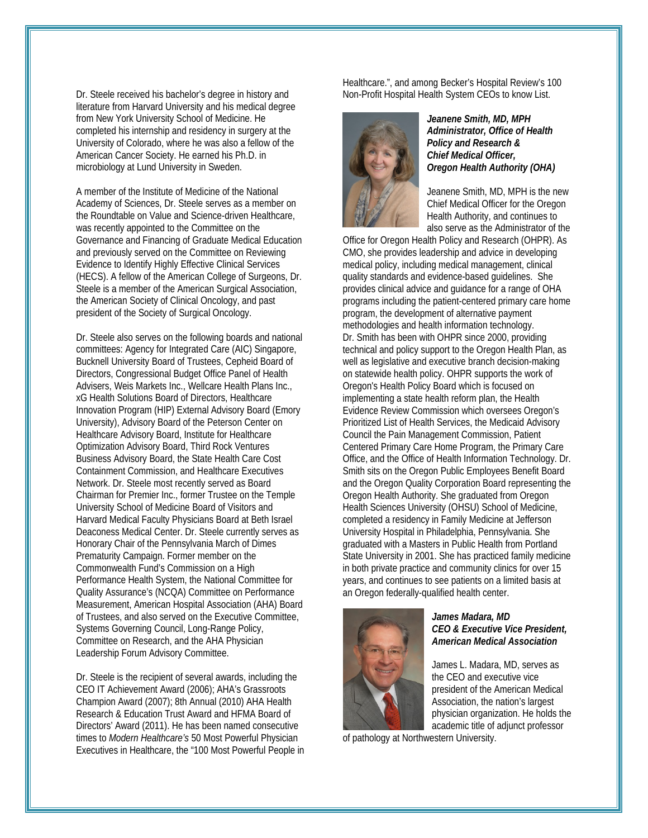Dr. Steele received his bachelor's degree in history and literature from Harvard University and his medical degree from New York University School of Medicine. He completed his internship and residency in surgery at the University of Colorado, where he was also a fellow of the American Cancer Society. He earned his Ph.D. in microbiology at Lund University in Sweden.

A member of the Institute of Medicine of the National Academy of Sciences, Dr. Steele serves as a member on the Roundtable on Value and Science-driven Healthcare, was recently appointed to the Committee on the Governance and Financing of Graduate Medical Education and previously served on the Committee on Reviewing Evidence to Identify Highly Effective Clinical Services (HECS). A fellow of the American College of Surgeons, Dr. Steele is a member of the American Surgical Association, the American Society of Clinical Oncology, and past president of the Society of Surgical Oncology.

Dr. Steele also serves on the following boards and national committees: Agency for Integrated Care (AIC) Singapore, Bucknell University Board of Trustees, Cepheid Board of Directors, Congressional Budget Office Panel of Health Advisers, Weis Markets Inc., Wellcare Health Plans Inc., xG Health Solutions Board of Directors, Healthcare Innovation Program (HIP) External Advisory Board (Emory University), Advisory Board of the Peterson Center on Healthcare Advisory Board, Institute for Healthcare Optimization Advisory Board, Third Rock Ventures Business Advisory Board, the State Health Care Cost Containment Commission, and Healthcare Executives Network. Dr. Steele most recently served as Board Chairman for Premier Inc., former Trustee on the Temple University School of Medicine Board of Visitors and Harvard Medical Faculty Physicians Board at Beth Israel Deaconess Medical Center. Dr. Steele currently serves as Honorary Chair of the Pennsylvania March of Dimes Prematurity Campaign. Former member on the Commonwealth Fund's Commission on a High Performance Health System, the National Committee for Quality Assurance's (NCQA) Committee on Performance Measurement, American Hospital Association (AHA) Board of Trustees, and also served on the Executive Committee, Systems Governing Council, Long-Range Policy, Committee on Research, and the AHA Physician Leadership Forum Advisory Committee.

Dr. Steele is the recipient of several awards, including the CEO IT Achievement Award (2006); AHA's Grassroots Champion Award (2007); 8th Annual (2010) AHA Health Research & Education Trust Award and HFMA Board of Directors' Award (2011). He has been named consecutive times to *Modern Healthcare's* 50 Most Powerful Physician Executives in Healthcare, the "100 Most Powerful People in Healthcare.", and among Becker's Hospital Review's 100 Non-Profit Hospital Health System CEOs to know List.



# *Jeanene Smith, MD, MPH Administrator, Office of Health Policy and Research & Chief Medical Officer, Oregon Health Authority (OHA)*

Jeanene Smith, MD, MPH is the new Chief Medical Officer for the Oregon Health Authority, and continues to also serve as the Administrator of the

Office for Oregon Health Policy and Research (OHPR). As CMO, she provides leadership and advice in developing medical policy, including medical management, clinical quality standards and evidence-based guidelines. She provides clinical advice and guidance for a range of OHA programs including the patient-centered primary care home program, the development of alternative payment methodologies and health information technology. Dr. Smith has been with OHPR since 2000, providing technical and policy support to the Oregon Health Plan, as well as legislative and executive branch decision-making on statewide health policy. OHPR supports the work of Oregon's Health Policy Board which is focused on implementing a state health reform plan, the Health Evidence Review Commission which oversees Oregon's Prioritized List of Health Services, the Medicaid Advisory Council the Pain Management Commission, Patient Centered Primary Care Home Program, the Primary Care Office, and the Office of Health Information Technology. Dr. Smith sits on the Oregon Public Employees Benefit Board and the Oregon Quality Corporation Board representing the Oregon Health Authority. She graduated from Oregon Health Sciences University (OHSU) School of Medicine, completed a residency in Family Medicine at Jefferson University Hospital in Philadelphia, Pennsylvania. She graduated with a Masters in Public Health from Portland State University in 2001. She has practiced family medicine in both private practice and community clinics for over 15 years, and continues to see patients on a limited basis at an Oregon federally-qualified health center.



# *James Madara, MD CEO & Executive Vice President, American Medical Association*

James L. Madara, MD, serves as the CEO and executive vice president of the American Medical Association, the nation's largest physician organization. He holds the academic title of adjunct professor

of pathology at Northwestern University.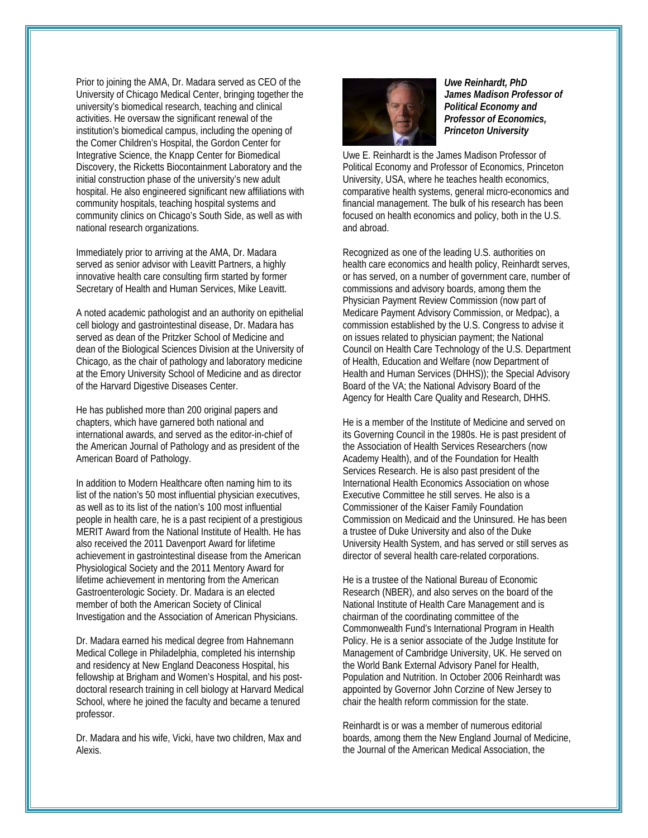Prior to joining the AMA, Dr. Madara served as CEO of the University of Chicago Medical Center, bringing together the university's biomedical research, teaching and clinical activities. He oversaw the significant renewal of the institution's biomedical campus, including the opening of the Comer Children's Hospital, the Gordon Center for Integrative Science, the Knapp Center for Biomedical Discovery, the Ricketts Biocontainment Laboratory and the initial construction phase of the university's new adult hospital. He also engineered significant new affiliations with community hospitals, teaching hospital systems and community clinics on Chicago's South Side, as well as with national research organizations.

Immediately prior to arriving at the AMA, Dr. Madara served as senior advisor with Leavitt Partners, a highly innovative health care consulting firm started by former Secretary of Health and Human Services, Mike Leavitt.

A noted academic pathologist and an authority on epithelial cell biology and gastrointestinal disease, Dr. Madara has served as dean of the Pritzker School of Medicine and dean of the Biological Sciences Division at the University of Chicago, as the chair of pathology and laboratory medicine at the Emory University School of Medicine and as director of the Harvard Digestive Diseases Center.

He has published more than 200 original papers and chapters, which have garnered both national and international awards, and served as the editor-in-chief of the American Journal of Pathology and as president of the American Board of Pathology.

In addition to Modern Healthcare often naming him to its list of the nation's 50 most influential physician executives, as well as to its list of the nation's 100 most influential people in health care, he is a past recipient of a prestigious MERIT Award from the National Institute of Health. He has also received the 2011 Davenport Award for lifetime achievement in gastrointestinal disease from the American Physiological Society and the 2011 Mentory Award for lifetime achievement in mentoring from the American Gastroenterologic Society. Dr. Madara is an elected member of both the American Society of Clinical Investigation and the Association of American Physicians.

Dr. Madara earned his medical degree from Hahnemann Medical College in Philadelphia, completed his internship and residency at New England Deaconess Hospital, his fellowship at Brigham and Women's Hospital, and his postdoctoral research training in cell biology at Harvard Medical School, where he joined the faculty and became a tenured professor.

Dr. Madara and his wife, Vicki, have two children, Max and Alexis.



*Uwe Reinhardt, PhD James Madison Professor of Political Economy and Professor of Economics, Princeton University*

Uwe E. Reinhardt is the James Madison Professor of Political Economy and Professor of Economics, Princeton University, USA, where he teaches health economics, comparative health systems, general micro-economics and financial management. The bulk of his research has been focused on health economics and policy, both in the U.S. and abroad.

Recognized as one of the leading U.S. authorities on health care economics and health policy, Reinhardt serves, or has served, on a number of government care, number of commissions and advisory boards, among them the Physician Payment Review Commission (now part of Medicare Payment Advisory Commission, or Medpac), a commission established by the U.S. Congress to advise it on issues related to physician payment; the National Council on Health Care Technology of the U.S. Department of Health, Education and Welfare (now Department of Health and Human Services (DHHS)); the Special Advisory Board of the VA; the National Advisory Board of the Agency for Health Care Quality and Research, DHHS.

He is a member of the Institute of Medicine and served on its Governing Council in the 1980s. He is past president of the Association of Health Services Researchers (now Academy Health), and of the Foundation for Health Services Research. He is also past president of the International Health Economics Association on whose Executive Committee he still serves. He also is a Commissioner of the Kaiser Family Foundation Commission on Medicaid and the Uninsured. He has been a trustee of Duke University and also of the Duke University Health System, and has served or still serves as director of several health care-related corporations.

He is a trustee of the National Bureau of Economic Research (NBER), and also serves on the board of the National Institute of Health Care Management and is chairman of the coordinating committee of the Commonwealth Fund's International Program in Health Policy. He is a senior associate of the Judge Institute for Management of Cambridge University, UK. He served on the World Bank External Advisory Panel for Health, Population and Nutrition. In October 2006 Reinhardt was appointed by Governor John Corzine of New Jersey to chair the health reform commission for the state.

Reinhardt is or was a member of numerous editorial boards, among them the New England Journal of Medicine, the Journal of the American Medical Association, the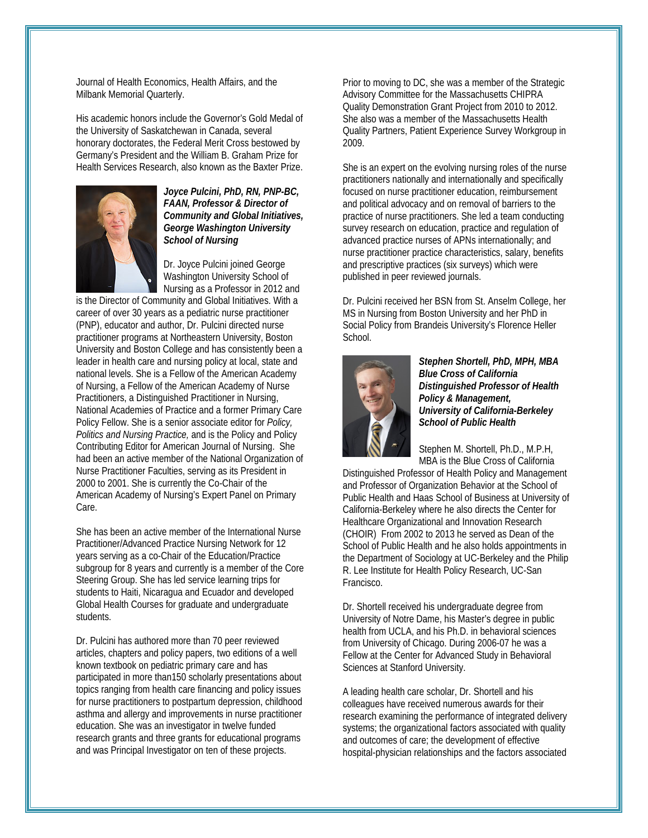Journal of Health Economics, Health Affairs, and the Milbank Memorial Quarterly.

His academic honors include the Governor's Gold Medal of the University of Saskatchewan in Canada, several honorary doctorates, the Federal Merit Cross bestowed by Germany's President and the William B. Graham Prize for Health Services Research, also known as the Baxter Prize.



*Joyce Pulcini, PhD, RN, PNP-BC, FAAN, Professor & Director of Community and Global Initiatives, George Washington University School of Nursing*

Dr. Joyce Pulcini joined George Washington University School of Nursing as a Professor in 2012 and

is the Director of Community and Global Initiatives. With a career of over 30 years as a pediatric nurse practitioner (PNP), educator and author, Dr. Pulcini directed nurse practitioner programs at Northeastern University, Boston University and Boston College and has consistently been a leader in health care and nursing policy at local, state and national levels. She is a Fellow of the American Academy of Nursing, a Fellow of the American Academy of Nurse Practitioners, a Distinguished Practitioner in Nursing, National Academies of Practice and a former Primary Care Policy Fellow. She is a senior associate editor for *Policy, Politics and Nursing Practice,* and is the Policy and Policy Contributing Editor for American Journal of Nursing. She had been an active member of the National Organization of Nurse Practitioner Faculties, serving as its President in 2000 to 2001. She is currently the Co-Chair of the American Academy of Nursing's Expert Panel on Primary Care.

She has been an active member of the International Nurse Practitioner/Advanced Practice Nursing Network for 12 years serving as a co-Chair of the Education/Practice subgroup for 8 years and currently is a member of the Core Steering Group. She has led service learning trips for students to Haiti, Nicaragua and Ecuador and developed Global Health Courses for graduate and undergraduate students.

Dr. Pulcini has authored more than 70 peer reviewed articles, chapters and policy papers, two editions of a well known textbook on pediatric primary care and has participated in more than150 scholarly presentations about topics ranging from health care financing and policy issues for nurse practitioners to postpartum depression, childhood asthma and allergy and improvements in nurse practitioner education. She was an investigator in twelve funded research grants and three grants for educational programs and was Principal Investigator on ten of these projects.

Prior to moving to DC, she was a member of the Strategic Advisory Committee for the Massachusetts CHIPRA Quality Demonstration Grant Project from 2010 to 2012. She also was a member of the Massachusetts Health Quality Partners, Patient Experience Survey Workgroup in 2009.

She is an expert on the evolving nursing roles of the nurse practitioners nationally and internationally and specifically focused on nurse practitioner education, reimbursement and political advocacy and on removal of barriers to the practice of nurse practitioners. She led a team conducting survey research on education, practice and regulation of advanced practice nurses of APNs internationally; and nurse practitioner practice characteristics, salary, benefits and prescriptive practices (six surveys) which were published in peer reviewed journals.

Dr. Pulcini received her BSN from St. Anselm College, her MS in Nursing from Boston University and her PhD in Social Policy from Brandeis University's Florence Heller School.



*Stephen Shortell, PhD, MPH, MBA Blue Cross of California Distinguished Professor of Health Policy & Management, University of California-Berkeley School of Public Health*

Stephen M. Shortell, Ph.D., M.P.H, MBA is the Blue Cross of California

Distinguished Professor of Health Policy and Management and Professor of Organization Behavior at the School of Public Health and Haas School of Business at University of California-Berkeley where he also directs the Center for Healthcare Organizational and Innovation Research (CHOIR) From 2002 to 2013 he served as Dean of the School of Public Health and he also holds appointments in the Department of Sociology at UC-Berkeley and the Philip R. Lee Institute for Health Policy Research, UC-San Francisco.

Dr. Shortell received his undergraduate degree from University of Notre Dame, his Master's degree in public health from UCLA, and his Ph.D. in behavioral sciences from University of Chicago. During 2006-07 he was a Fellow at the Center for Advanced Study in Behavioral Sciences at Stanford University.

A leading health care scholar, Dr. Shortell and his colleagues have received numerous awards for their research examining the performance of integrated delivery systems; the organizational factors associated with quality and outcomes of care; the development of effective hospital-physician relationships and the factors associated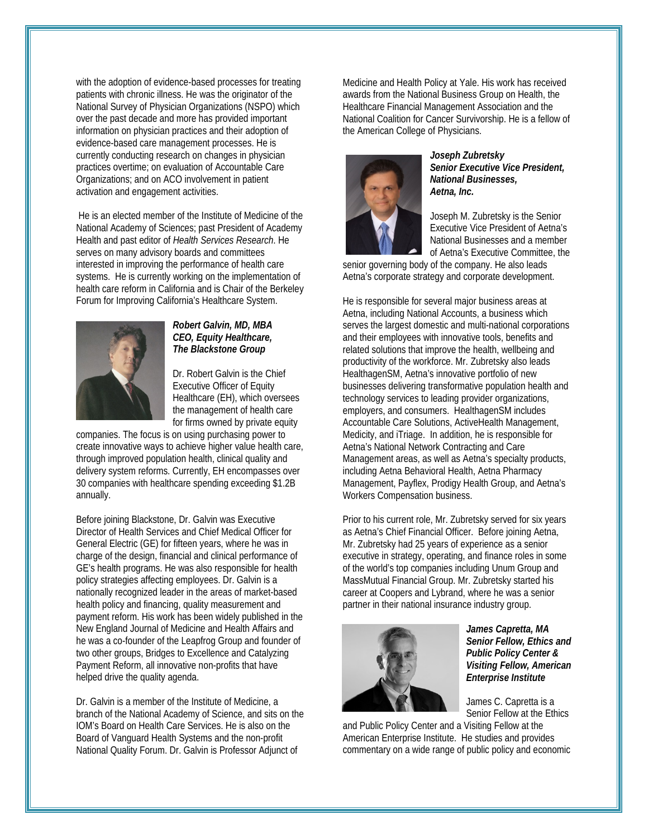with the adoption of evidence-based processes for treating patients with chronic illness. He was the originator of the National Survey of Physician Organizations (NSPO) which over the past decade and more has provided important information on physician practices and their adoption of evidence-based care management processes. He is currently conducting research on changes in physician practices overtime; on evaluation of Accountable Care Organizations; and on ACO involvement in patient activation and engagement activities.

He is an elected member of the Institute of Medicine of the National Academy of Sciences; past President of Academy Health and past editor of *Health Services Research*. He serves on many advisory boards and committees interested in improving the performance of health care systems. He is currently working on the implementation of health care reform in California and is Chair of the Berkeley Forum for Improving California's Healthcare System.



## *Robert Galvin, MD, MBA CEO, Equity Healthcare, The Blackstone Group*

Dr. Robert Galvin is the Chief Executive Officer of Equity Healthcare (EH), which oversees the management of health care for firms owned by private equity

companies. The focus is on using purchasing power to create innovative ways to achieve higher value health care, through improved population health, clinical quality and delivery system reforms. Currently, EH encompasses over 30 companies with healthcare spending exceeding \$1.2B annually.

Before joining Blackstone, Dr. Galvin was Executive Director of Health Services and Chief Medical Officer for General Electric (GE) for fifteen years, where he was in charge of the design, financial and clinical performance of GE's health programs. He was also responsible for health policy strategies affecting employees. Dr. Galvin is a nationally recognized leader in the areas of market-based health policy and financing, quality measurement and payment reform. His work has been widely published in the New England Journal of Medicine and Health Affairs and he was a co-founder of the Leapfrog Group and founder of two other groups, Bridges to Excellence and Catalyzing Payment Reform, all innovative non-profits that have helped drive the quality agenda.

Dr. Galvin is a member of the Institute of Medicine, a branch of the National Academy of Science, and sits on the IOM's Board on Health Care Services. He is also on the Board of Vanguard Health Systems and the non-profit National Quality Forum. Dr. Galvin is Professor Adjunct of

Medicine and Health Policy at Yale. His work has received awards from the National Business Group on Health, the Healthcare Financial Management Association and the National Coalition for Cancer Survivorship. He is a fellow of the American College of Physicians.



*Joseph Zubretsky Senior Executive Vice President, National Businesses, Aetna, Inc.*

Joseph M. Zubretsky is the Senior Executive Vice President of Aetna's National Businesses and a member of Aetna's Executive Committee, the

senior governing body of the company. He also leads Aetna's corporate strategy and corporate development.

He is responsible for several major business areas at Aetna, including National Accounts, a business which serves the largest domestic and multi-national corporations and their employees with innovative tools, benefits and related solutions that improve the health, wellbeing and productivity of the workforce. Mr. Zubretsky also leads HealthagenSM, Aetna's innovative portfolio of new businesses delivering transformative population health and technology services to leading provider organizations, employers, and consumers. HealthagenSM includes Accountable Care Solutions, ActiveHealth Management, Medicity, and iTriage. In addition, he is responsible for Aetna's National Network Contracting and Care Management areas, as well as Aetna's specialty products, including Aetna Behavioral Health, Aetna Pharmacy Management, Payflex, Prodigy Health Group, and Aetna's Workers Compensation business.

Prior to his current role, Mr. Zubretsky served for six years as Aetna's Chief Financial Officer. Before joining Aetna, Mr. Zubretsky had 25 years of experience as a senior executive in strategy, operating, and finance roles in some of the world's top companies including Unum Group and MassMutual Financial Group. Mr. Zubretsky started his career at Coopers and Lybrand, where he was a senior partner in their national insurance industry group.



*James Capretta, MA Senior Fellow, Ethics and Public Policy Center & Visiting Fellow, American Enterprise Institute*

James C. Capretta is a Senior Fellow at the Ethics

and Public Policy Center and a Visiting Fellow at the American Enterprise Institute. He studies and provides commentary on a wide range of public policy and economic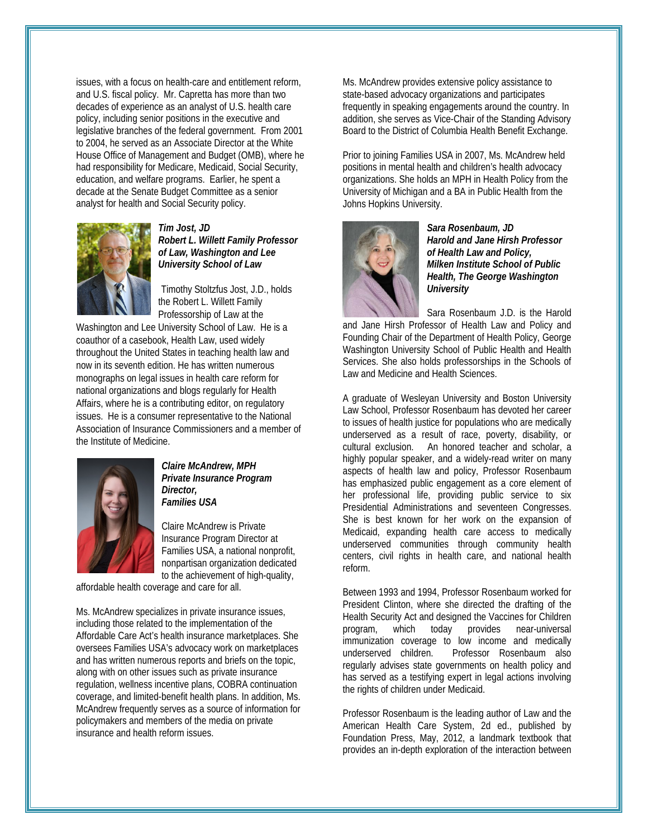issues, with a focus on health-care and entitlement reform, and U.S. fiscal policy. Mr. Capretta has more than two decades of experience as an analyst of U.S. health care policy, including senior positions in the executive and legislative branches of the federal government. From 2001 to 2004, he served as an Associate Director at the White House Office of Management and Budget (OMB), where he had responsibility for Medicare, Medicaid, Social Security, education, and welfare programs. Earlier, he spent a decade at the Senate Budget Committee as a senior analyst for health and Social Security policy.



# *Tim Jost, JD Robert L. Willett Family Professor of Law, Washington and Lee University School of Law*

Timothy Stoltzfus Jost, J.D., holds the Robert L. Willett Family Professorship of Law at the

Washington and Lee University School of Law. He is a coauthor of a casebook, Health Law, used widely throughout the United States in teaching health law and now in its seventh edition. He has written numerous monographs on legal issues in health care reform for national organizations and blogs regularly for Health Affairs, where he is a contributing editor, on regulatory issues. He is a consumer representative to the National Association of Insurance Commissioners and a member of the Institute of Medicine.



#### *Claire McAndrew, MPH Private Insurance Program Director, Families USA*

Claire McAndrew is Private Insurance Program Director at Families USA, a national nonprofit, nonpartisan organization dedicated to the achievement of high-quality,

affordable health coverage and care for all.

Ms. McAndrew specializes in private insurance issues, including those related to the implementation of the Affordable Care Act's health insurance marketplaces. She oversees Families USA's advocacy work on marketplaces and has written numerous reports and briefs on the topic, along with on other issues such as private insurance regulation, wellness incentive plans, COBRA continuation coverage, and limited-benefit health plans. In addition, Ms. McAndrew frequently serves as a source of information for policymakers and members of the media on private insurance and health reform issues.

Ms. McAndrew provides extensive policy assistance to state-based advocacy organizations and participates frequently in speaking engagements around the country. In addition, she serves as Vice-Chair of the Standing Advisory Board to the District of Columbia Health Benefit Exchange.

Prior to joining Families USA in 2007, Ms. McAndrew held positions in mental health and children's health advocacy organizations. She holds an MPH in Health Policy from the University of Michigan and a BA in Public Health from the Johns Hopkins University.



*Sara Rosenbaum, JD Harold and Jane Hirsh Professor of Health Law and Policy, Milken Institute School of Public Health, The George Washington University*

Sara Rosenbaum J.D. is the Harold

and Jane Hirsh Professor of Health Law and Policy and Founding Chair of the Department of Health Policy, George Washington University School of Public Health and Health Services. She also holds professorships in the Schools of Law and Medicine and Health Sciences.

A graduate of Wesleyan University and Boston University Law School, Professor Rosenbaum has devoted her career to issues of health justice for populations who are medically underserved as a result of race, poverty, disability, or cultural exclusion. An honored teacher and scholar, a highly popular speaker, and a widely-read writer on many aspects of health law and policy, Professor Rosenbaum has emphasized public engagement as a core element of her professional life, providing public service to six Presidential Administrations and seventeen Congresses. She is best known for her work on the expansion of Medicaid, expanding health care access to medically underserved communities through community health centers, civil rights in health care, and national health reform.

Between 1993 and 1994, Professor Rosenbaum worked for President Clinton, where she directed the drafting of the Health Security Act and designed the Vaccines for Children program, which today provides near-universal immunization coverage to low income and medically<br>underserved children. Professor Rosenbaum also Professor Rosenbaum also regularly advises state governments on health policy and has served as a testifying expert in legal actions involving the rights of children under Medicaid.

Professor Rosenbaum is the leading author of Law and the American Health Care System, 2d ed., published by Foundation Press, May, 2012, a landmark textbook that provides an in-depth exploration of the interaction between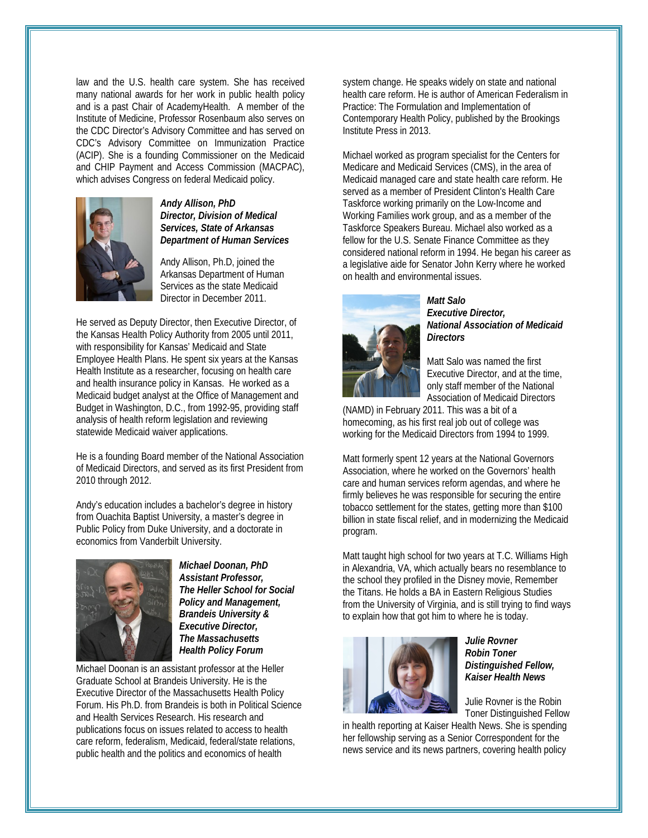law and the U.S. health care system. She has received many national awards for her work in public health policy and is a past Chair of AcademyHealth. A member of the Institute of Medicine, Professor Rosenbaum also serves on the CDC Director's Advisory Committee and has served on CDC's Advisory Committee on Immunization Practice (ACIP). She is a founding Commissioner on the Medicaid and CHIP Payment and Access Commission (MACPAC), which advises Congress on federal Medicaid policy.



# *Andy Allison, PhD Director, Division of Medical Services, State of Arkansas Department of Human Services*

Andy Allison, Ph.D, joined the Arkansas Department of Human Services as the state Medicaid Director in December 2011.

He served as Deputy Director, then Executive Director, of the Kansas Health Policy Authority from 2005 until 2011, with responsibility for Kansas' Medicaid and State Employee Health Plans. He spent six years at the Kansas Health Institute as a researcher, focusing on health care and health insurance policy in Kansas. He worked as a Medicaid budget analyst at the Office of Management and Budget in Washington, D.C., from 1992-95, providing staff analysis of health reform legislation and reviewing statewide Medicaid waiver applications.

He is a founding Board member of the National Association of Medicaid Directors, and served as its first President from 2010 through 2012.

Andy's education includes a bachelor's degree in history from Ouachita Baptist University, a master's degree in Public Policy from Duke University, and a doctorate in economics from Vanderbilt University.



*Michael Doonan, PhD Assistant Professor, The Heller School for Social Policy and Management, Brandeis University & Executive Director, The Massachusetts Health Policy Forum*

Michael Doonan is an assistant professor at the Heller Graduate School at Brandeis University. He is the Executive Director of the Massachusetts Health Policy Forum. His Ph.D. from Brandeis is both in Political Science and Health Services Research. His research and publications focus on issues related to access to health care reform, federalism, Medicaid, federal/state relations, public health and the politics and economics of health

system change. He speaks widely on state and national health care reform. He is author of American Federalism in Practice: The Formulation and Implementation of Contemporary Health Policy, published by the Brookings Institute Press in 2013.

Michael worked as program specialist for the Centers for Medicare and Medicaid Services (CMS), in the area of Medicaid managed care and state health care reform. He served as a member of President Clinton's Health Care Taskforce working primarily on the Low-Income and Working Families work group, and as a member of the Taskforce Speakers Bureau. Michael also worked as a fellow for the U.S. Senate Finance Committee as they considered national reform in 1994. He began his career as a legislative aide for Senator John Kerry where he worked on health and environmental issues.



# *Matt Salo Executive Director, National Association of Medicaid Directors*

Matt Salo was named the first Executive Director, and at the time, only staff member of the National Association of Medicaid Directors

(NAMD) in February 2011. This was a bit of a homecoming, as his first real job out of college was working for the Medicaid Directors from 1994 to 1999.

Matt formerly spent 12 years at the National Governors Association, where he worked on the Governors' health care and human services reform agendas, and where he firmly believes he was responsible for securing the entire tobacco settlement for the states, getting more than \$100 billion in state fiscal relief, and in modernizing the Medicaid program.

Matt taught high school for two years at T.C. Williams High in Alexandria, VA, which actually bears no resemblance to the school they profiled in the Disney movie, Remember the Titans. He holds a BA in Eastern Religious Studies from the University of Virginia, and is still trying to find ways to explain how that got him to where he is today.



*Julie Rovner Robin Toner Distinguished Fellow, Kaiser Health News*

Julie Rovner is the Robin Toner Distinguished Fellow

in health reporting at Kaiser Health News. She is spending her fellowship serving as a Senior Correspondent for the news service and its news partners, covering health policy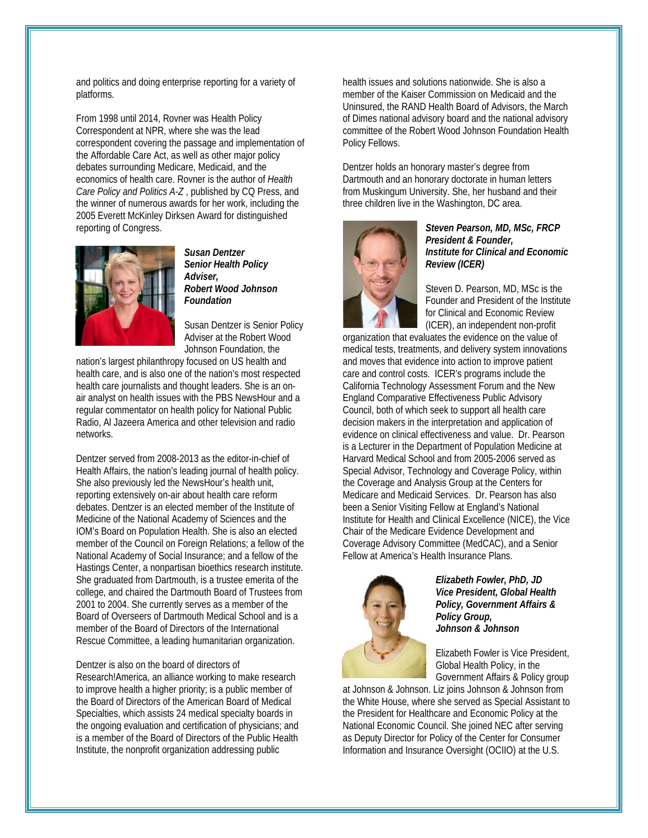and politics and doing enterprise reporting for a variety of platforms.

From 1998 until 2014, Rovner was Health Policy Correspondent at NPR, where she was the lead correspondent covering the passage and implementation of the Affordable Care Act, as well as other major policy debates surrounding Medicare, Medicaid, and the economics of health care. Rovner is the author of *Health Care Policy and Politics A-Z* , published by CQ Press, and the winner of numerous awards for her work, including the 2005 Everett McKinley Dirksen Award for distinguished reporting of Congress.



*Susan Dentzer Senior Health Policy Adviser, Robert Wood Johnson Foundation*

Susan Dentzer is Senior Policy Adviser at the Robert Wood Johnson Foundation, the

nation's largest philanthropy focused on US health and health care, and is also one of the nation's most respected health care journalists and thought leaders. She is an onair analyst on health issues with the PBS NewsHour and a regular commentator on health policy for National Public Radio, Al Jazeera America and other television and radio networks.

Dentzer served from 2008-2013 as the editor-in-chief of Health Affairs, the nation's leading journal of health policy. She also previously led the NewsHour's health unit, reporting extensively on-air about health care reform debates. Dentzer is an elected member of the Institute of Medicine of the National Academy of Sciences and the IOM's Board on Population Health. She is also an elected member of the Council on Foreign Relations; a fellow of the National Academy of Social Insurance; and a fellow of the Hastings Center, a nonpartisan bioethics research institute. She graduated from Dartmouth, is a trustee emerita of the college, and chaired the Dartmouth Board of Trustees from 2001 to 2004. She currently serves as a member of the Board of Overseers of Dartmouth Medical School and is a member of the Board of Directors of the International Rescue Committee, a leading humanitarian organization.

Dentzer is also on the board of directors of Research!America, an alliance working to make research to improve health a higher priority; is a public member of the Board of Directors of the American Board of Medical Specialties, which assists 24 medical specialty boards in the ongoing evaluation and certification of physicians; and is a member of the Board of Directors of the Public Health Institute, the nonprofit organization addressing public

health issues and solutions nationwide. She is also a member of the Kaiser Commission on Medicaid and the Uninsured, the RAND Health Board of Advisors, the March of Dimes national advisory board and the national advisory committee of the Robert Wood Johnson Foundation Health Policy Fellows.

Dentzer holds an honorary master's degree from Dartmouth and an honorary doctorate in human letters from Muskingum University. She, her husband and their three children live in the Washington, DC area.



# *Steven Pearson, MD, MSc, FRCP President & Founder, Institute for Clinical and Economic Review (ICER)*

Steven D. Pearson, MD, MSc is the Founder and President of the Institute for Clinical and Economic Review (ICER), an independent non-profit

organization that evaluates the evidence on the value of medical tests, treatments, and delivery system innovations and moves that evidence into action to improve patient care and control costs. ICER's programs include the California Technology Assessment Forum and the New England Comparative Effectiveness Public Advisory Council, both of which seek to support all health care decision makers in the interpretation and application of evidence on clinical effectiveness and value. Dr. Pearson is a Lecturer in the Department of Population Medicine at Harvard Medical School and from 2005-2006 served as Special Advisor, Technology and Coverage Policy, within the Coverage and Analysis Group at the Centers for Medicare and Medicaid Services. Dr. Pearson has also been a Senior Visiting Fellow at England's National Institute for Health and Clinical Excellence (NICE), the Vice Chair of the Medicare Evidence Development and Coverage Advisory Committee (MedCAC), and a Senior Fellow at America's Health Insurance Plans.



*Elizabeth Fowler, PhD, JD Vice President, Global Health Policy, Government Affairs & Policy Group, Johnson & Johnson*

Elizabeth Fowler is Vice President, Global Health Policy, in the Government Affairs & Policy group

at Johnson & Johnson. Liz joins Johnson & Johnson from the White House, where she served as Special Assistant to the President for Healthcare and Economic Policy at the National Economic Council. She joined NEC after serving as Deputy Director for Policy of the Center for Consumer Information and Insurance Oversight (OCIIO) at the U.S.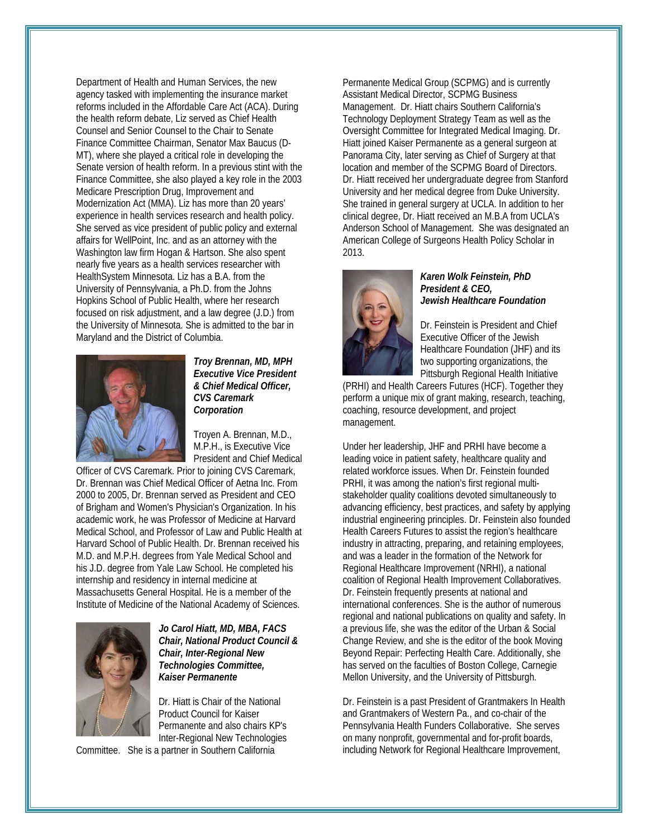Department of Health and Human Services, the new agency tasked with implementing the insurance market reforms included in the Affordable Care Act (ACA). During the health reform debate, Liz served as Chief Health Counsel and Senior Counsel to the Chair to Senate Finance Committee Chairman, Senator Max Baucus (D-MT), where she played a critical role in developing the Senate version of health reform. In a previous stint with the Finance Committee, she also played a key role in the 2003 Medicare Prescription Drug, Improvement and Modernization Act (MMA). Liz has more than 20 years' experience in health services research and health policy. She served as vice president of public policy and external affairs for WellPoint, Inc. and as an attorney with the Washington law firm Hogan & Hartson. She also spent nearly five years as a health services researcher with HealthSystem Minnesota. Liz has a B.A. from the University of Pennsylvania, a Ph.D. from the Johns Hopkins School of Public Health, where her research focused on risk adjustment, and a law degree (J.D.) from the University of Minnesota. She is admitted to the bar in Maryland and the District of Columbia.



*Troy Brennan, MD, MPH Executive Vice President & Chief Medical Officer, CVS Caremark Corporation*

Troyen A. Brennan, M.D., M.P.H., is Executive Vice President and Chief Medical

Officer of CVS Caremark. Prior to joining CVS Caremark, Dr. Brennan was Chief Medical Officer of Aetna Inc. From 2000 to 2005, Dr. Brennan served as President and CEO of Brigham and Women's Physician's Organization. In his academic work, he was Professor of Medicine at Harvard Medical School, and Professor of Law and Public Health at Harvard School of Public Health. Dr. Brennan received his M.D. and M.P.H. degrees from Yale Medical School and his J.D. degree from Yale Law School. He completed his internship and residency in internal medicine at Massachusetts General Hospital. He is a member of the Institute of Medicine of the National Academy of Sciences.



*Jo Carol Hiatt, MD, MBA, FACS Chair, National Product Council & Chair, Inter-Regional New Technologies Committee, Kaiser Permanente*

Dr. Hiatt is Chair of the National Product Council for Kaiser Permanente and also chairs KP's Inter-Regional New Technologies

Committee. She is a partner in Southern California

Permanente Medical Group (SCPMG) and is currently Assistant Medical Director, SCPMG Business Management. Dr. Hiatt chairs Southern California's Technology Deployment Strategy Team as well as the Oversight Committee for Integrated Medical Imaging. Dr. Hiatt joined Kaiser Permanente as a general surgeon at Panorama City, later serving as Chief of Surgery at that location and member of the SCPMG Board of Directors. Dr. Hiatt received her undergraduate degree from Stanford University and her medical degree from Duke University. She trained in general surgery at UCLA. In addition to her clinical degree, Dr. Hiatt received an M.B.A from UCLA's Anderson School of Management. She was designated an American College of Surgeons Health Policy Scholar in 2013.



#### *Karen Wolk Feinstein, PhD President & CEO, Jewish Healthcare Foundation*

Dr. Feinstein is President and Chief Executive Officer of the Jewish Healthcare Foundation (JHF) and its two supporting organizations, the Pittsburgh Regional Health Initiative

(PRHI) and Health Careers Futures (HCF). Together they perform a unique mix of grant making, research, teaching, coaching, resource development, and project management.

Under her leadership, JHF and PRHI have become a leading voice in patient safety, healthcare quality and related workforce issues. When Dr. Feinstein founded PRHI, it was among the nation's first regional multistakeholder quality coalitions devoted simultaneously to advancing efficiency, best practices, and safety by applying industrial engineering principles. Dr. Feinstein also founded Health Careers Futures to assist the region's healthcare industry in attracting, preparing, and retaining employees, and was a leader in the formation of the Network for Regional Healthcare Improvement (NRHI), a national coalition of Regional Health Improvement Collaboratives. Dr. Feinstein frequently presents at national and international conferences. She is the author of numerous regional and national publications on quality and safety. In a previous life, she was the editor of the Urban & Social Change Review, and she is the editor of the book Moving Beyond Repair: Perfecting Health Care. Additionally, she has served on the faculties of Boston College, Carnegie Mellon University, and the University of Pittsburgh.

Dr. Feinstein is a past President of Grantmakers In Health and Grantmakers of Western Pa., and co-chair of the Pennsylvania Health Funders Collaborative. She serves on many nonprofit, governmental and for-profit boards, including Network for Regional Healthcare Improvement,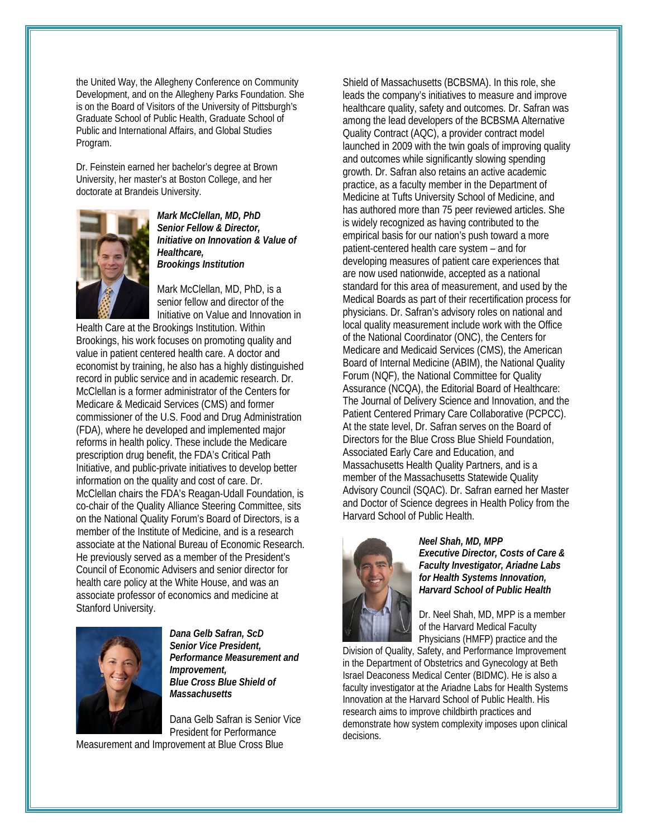the United Way, the Allegheny Conference on Community Development, and on the Allegheny Parks Foundation. She is on the Board of Visitors of the University of Pittsburgh's Graduate School of Public Health, Graduate School of Public and International Affairs, and Global Studies Program.

Dr. Feinstein earned her bachelor's degree at Brown University, her master's at Boston College, and her doctorate at Brandeis University.



*Mark McClellan, MD, PhD Senior Fellow & Director, Initiative on Innovation & Value of Healthcare, Brookings Institution*

Mark McClellan, MD, PhD, is a senior fellow and director of the Initiative on Value and Innovation in

Health Care at the Brookings Institution. Within Brookings, his work focuses on promoting quality and value in patient centered health care. A doctor and economist by training, he also has a highly distinguished record in public service and in academic research. Dr. McClellan is a former administrator of the Centers for Medicare & Medicaid Services (CMS) and former commissioner of the U.S. Food and Drug Administration (FDA), where he developed and implemented major reforms in health policy. These include the Medicare prescription drug benefit, the FDA's Critical Path Initiative, and public-private initiatives to develop better information on the quality and cost of care. Dr. McClellan chairs the FDA's Reagan-Udall Foundation, is co-chair of the Quality Alliance Steering Committee, sits on the National Quality Forum's Board of Directors, is a member of the Institute of Medicine, and is a research associate at the National Bureau of Economic Research. He previously served as a member of the President's Council of Economic Advisers and senior director for health care policy at the White House, and was an associate professor of economics and medicine at Stanford University.



*Dana Gelb Safran, ScD Senior Vice President, Performance Measurement and Improvement, Blue Cross Blue Shield of Massachusetts*

Dana Gelb Safran is Senior Vice President for Performance

Measurement and Improvement at Blue Cross Blue

Shield of Massachusetts (BCBSMA). In this role, she leads the company's initiatives to measure and improve healthcare quality, safety and outcomes. Dr. Safran was among the lead developers of the BCBSMA Alternative Quality Contract (AQC), a provider contract model launched in 2009 with the twin goals of improving quality and outcomes while significantly slowing spending growth. Dr. Safran also retains an active academic practice, as a faculty member in the Department of Medicine at Tufts University School of Medicine, and has authored more than 75 peer reviewed articles. She is widely recognized as having contributed to the empirical basis for our nation's push toward a more patient-centered health care system – and for developing measures of patient care experiences that are now used nationwide, accepted as a national standard for this area of measurement, and used by the Medical Boards as part of their recertification process for physicians. Dr. Safran's advisory roles on national and local quality measurement include work with the Office of the National Coordinator (ONC), the Centers for Medicare and Medicaid Services (CMS), the American Board of Internal Medicine (ABIM), the National Quality Forum (NQF), the National Committee for Quality Assurance (NCQA), the Editorial Board of Healthcare: The Journal of Delivery Science and Innovation, and the Patient Centered Primary Care Collaborative (PCPCC). At the state level, Dr. Safran serves on the Board of Directors for the Blue Cross Blue Shield Foundation, Associated Early Care and Education, and Massachusetts Health Quality Partners, and is a member of the Massachusetts Statewide Quality Advisory Council (SQAC). Dr. Safran earned her Master and Doctor of Science degrees in Health Policy from the Harvard School of Public Health.



*Neel Shah, MD, MPP Executive Director, Costs of Care & Faculty Investigator, Ariadne Labs for Health Systems Innovation, Harvard School of Public Health*

Dr. Neel Shah, MD, MPP is a member of the Harvard Medical Faculty Physicians (HMFP) practice and the

Division of Quality, Safety, and Performance Improvement in the Department of Obstetrics and Gynecology at Beth Israel Deaconess Medical Center (BIDMC). He is also a faculty investigator at the Ariadne Labs for Health Systems Innovation at the Harvard School of Public Health. His research aims to improve childbirth practices and demonstrate how system complexity imposes upon clinical decisions.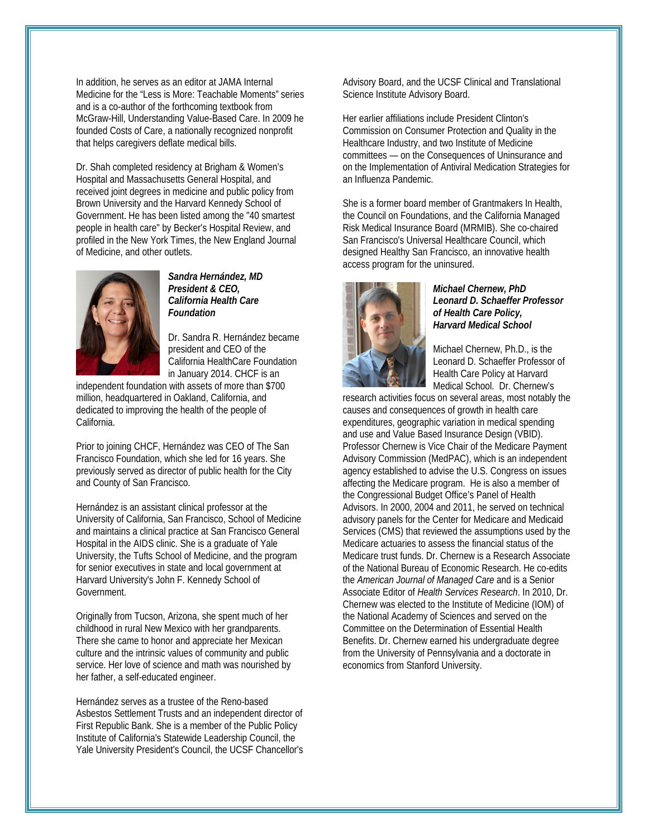In addition, he serves as an editor at JAMA Internal Medicine for the "Less is More: Teachable Moments" series and is a co-author of the forthcoming textbook from McGraw-Hill, Understanding Value-Based Care. In 2009 he founded Costs of Care, a nationally recognized nonprofit that helps caregivers deflate medical bills.

Dr. Shah completed residency at Brigham & Women's Hospital and Massachusetts General Hospital, and received joint degrees in medicine and public policy from Brown University and the Harvard Kennedy School of Government. He has been listed among the "40 smartest people in health care" by Becker's Hospital Review, and profiled in the New York Times, the New England Journal of Medicine, and other outlets.



*Sandra Hernández, MD President & CEO, California Health Care Foundation*

Dr. Sandra R. Hernández became president and CEO of the California HealthCare Foundation in January 2014. CHCF is an

independent foundation with assets of more than \$700 million, headquartered in Oakland, California, and dedicated to improving the health of the people of California.

Prior to joining CHCF, Hernández was CEO of The San Francisco Foundation, which she led for 16 years. She previously served as director of public health for the City and County of San Francisco.

Hernández is an assistant clinical professor at the University of California, San Francisco, School of Medicine and maintains a clinical practice at San Francisco General Hospital in the AIDS clinic. She is a graduate of Yale University, the Tufts School of Medicine, and the program for senior executives in state and local government at Harvard University's John F. Kennedy School of Government.

Originally from Tucson, Arizona, she spent much of her childhood in rural New Mexico with her grandparents. There she came to honor and appreciate her Mexican culture and the intrinsic values of community and public service. Her love of science and math was nourished by her father, a self-educated engineer.

Hernández serves as a trustee of the Reno-based Asbestos Settlement Trusts and an independent director of First Republic Bank. She is a member of the Public Policy Institute of California's Statewide Leadership Council, the Yale University President's Council, the UCSF Chancellor's Advisory Board, and the UCSF Clinical and Translational Science Institute Advisory Board.

Her earlier affiliations include President Clinton's Commission on Consumer Protection and Quality in the Healthcare Industry, and two Institute of Medicine committees — on the Consequences of Uninsurance and on the Implementation of Antiviral Medication Strategies for an Influenza Pandemic.

She is a former board member of Grantmakers In Health, the Council on Foundations, and the California Managed Risk Medical Insurance Board (MRMIB). She co-chaired San Francisco's Universal Healthcare Council, which designed Healthy San Francisco, an innovative health access program for the uninsured.



*Michael Chernew, PhD Leonard D. Schaeffer Professor of Health Care Policy, Harvard Medical School*

Michael Chernew, Ph.D., is the Leonard D. Schaeffer Professor of Health Care Policy at Harvard Medical School. Dr. Chernew's

research activities focus on several areas, most notably the causes and consequences of growth in health care expenditures, geographic variation in medical spending and use and Value Based Insurance Design (VBID). Professor Chernew is Vice Chair of the Medicare Payment Advisory Commission (MedPAC), which is an independent agency established to advise the U.S. Congress on issues affecting the Medicare program. He is also a member of the Congressional Budget Office's Panel of Health Advisors. In 2000, 2004 and 2011, he served on technical advisory panels for the Center for Medicare and Medicaid Services (CMS) that reviewed the assumptions used by the Medicare actuaries to assess the financial status of the Medicare trust funds. Dr. Chernew is a Research Associate of the National Bureau of Economic Research. He co-edits the *American Journal of Managed Care* and is a Senior Associate Editor of *Health Services Research*. In 2010, Dr. Chernew was elected to the Institute of Medicine (IOM) of the National Academy of Sciences and served on the Committee on the Determination of Essential Health Benefits. Dr. Chernew earned his undergraduate degree from the University of Pennsylvania and a doctorate in economics from Stanford University.